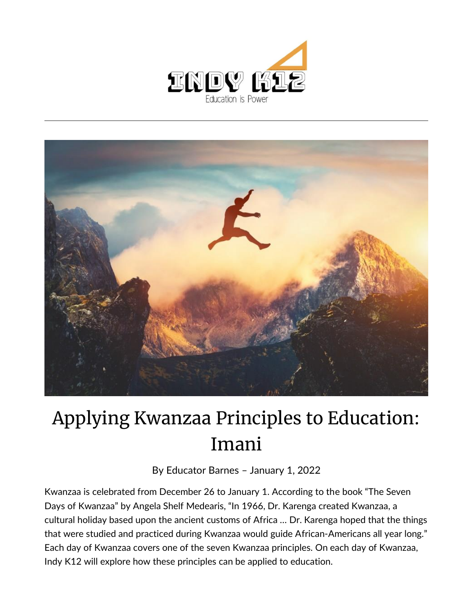



## Applying Kwanzaa Principles to Education: Imani

By [Educator Barnes](https://indy.education/author/shicole/) – January 1, 2022

Kwanzaa is celebrated from December 26 to January 1. According to the book "The Seven Days of Kwanzaa" by Angela Shelf Medearis, "In 1966, Dr. Karenga created Kwanzaa, a cultural holiday based upon the ancient customs of Africa … Dr. Karenga hoped that the things that were studied and practiced during Kwanzaa would guide African-Americans all year long." Each day of Kwanzaa covers one of the seven Kwanzaa principles. On each day of Kwanzaa, Indy K12 will explore how these principles can be applied to education.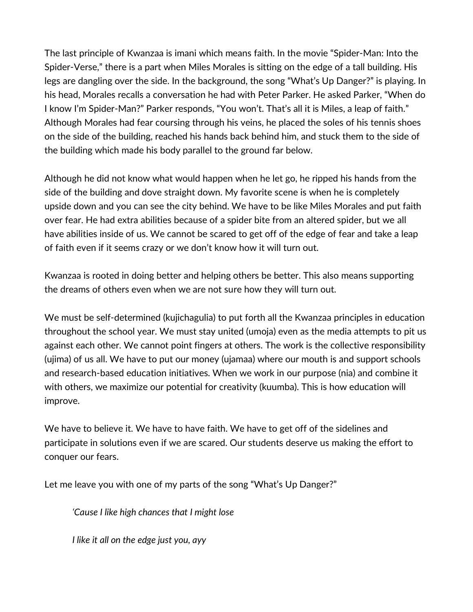The last principle of Kwanzaa is imani which means faith. In the movie "Spider-Man: Into the Spider-Verse," there is a part when Miles Morales is sitting on the edge of a tall building. His legs are dangling over the side. In the background, the song "What's Up Danger?" is playing. In his head, Morales recalls a conversation he had with Peter Parker. He asked Parker, "When do I know I'm Spider-Man?" Parker responds, "You won't. That's all it is Miles, a leap of faith." Although Morales had fear coursing through his veins, he placed the soles of his tennis shoes on the side of the building, reached his hands back behind him, and stuck them to the side of the building which made his body parallel to the ground far below.

Although he did not know what would happen when he let go, he ripped his hands from the side of the building and dove straight down. My favorite scene is when he is completely upside down and you can see the city behind. We have to be like Miles Morales and put faith over fear. He had extra abilities because of a spider bite from an altered spider, but we all have abilities inside of us. We cannot be scared to get off of the edge of fear and take a leap of faith even if it seems crazy or we don't know how it will turn out.

Kwanzaa is rooted in doing better and helping others be better. This also means supporting the dreams of others even when we are not sure how they will turn out.

We must be self-determined (kujichagulia) to put forth all the Kwanzaa principles in education throughout the school year. We must stay united (umoja) even as the media attempts to pit us against each other. We cannot point fingers at others. The work is the collective responsibility (ujima) of us all. We have to put our money (ujamaa) where our mouth is and support schools and research-based education initiatives. When we work in our purpose (nia) and combine it with others, we maximize our potential for creativity (kuumba). This is how education will improve.

We have to believe it. We have to have faith. We have to get off of the sidelines and participate in solutions even if we are scared. Our students deserve us making the effort to conquer our fears.

Let me leave you with one of my parts of the song "What's Up Danger?"

*'Cause I like high chances that I might lose*

*I like it all on the edge just you, ayy*